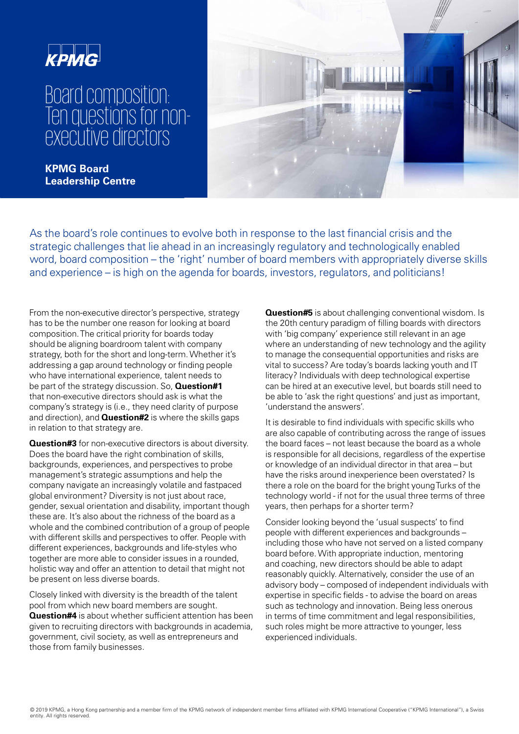

## Board composition: Ten questions for nonexecutive directors

**KPMG Board Leadership Centre** 



As the board's role continues to evolve both in response to the last financial crisis and the strategic challenges that lie ahead in an increasingly regulatory and technologically enabled word, board composition – the 'right' number of board members with appropriately diverse skills and experience – is high on the agenda for boards, investors, regulators, and politicians!

From the non-executive director's perspective, strategy has to be the number one reason for looking at board composition. The critical priority for boards today should be aligning boardroom talent with company strategy, both for the short and long-term. Whether it's addressing a gap around technology or finding people who have international experience, talent needs to be part of the strategy discussion. So, **Question#1**  that non-executive directors should ask is what the company's strategy is (i.e., they need clarity of purpose and direction), and **Question#2** is where the skills gaps in relation to that strategy are.

**Question#3** for non-executive directors is about diversity. Does the board have the right combination of skills. backgrounds, experiences, and perspectives to probe management's strategic assumptions and help the company navigate an increasingly volatile and fastpaced global environment? Diversity is not just about race, gender, sexual orientation and disability, important though these are. It's also about the richness of the board as a whole and the combined contribution of a group of people with different skills and perspectives to offer. People with different experiences, backgrounds and life-styles who together are more able to consider issues in a rounded, holistic way and offer an attention to detail that might not be present on less diverse boards.

Closely linked with diversity is the breadth of the talent pool from which new board members are sought. **Question#4** is about whether sufficient attention has been given to recruiting directors with backgrounds in academia, government, civil society, as well as entrepreneurs and those from family businesses.

**Question#5** is about challenging conventional wisdom. Is the 20th century paradigm of filling boards with directors with 'big company' experience still relevant in an age where an understanding of new technology and the agility to manage the consequential opportunities and risks are vital to success? Are today's boards lacking youth and IT literacy? Individuals with deep technological expertise can be hired at an executive level, but boards still need to be able to 'ask the right questions' and just as important. 'understand the answers'.

It is desirable to find individuals with specific skills who are also capable of contributing across the range of issues the board faces – not least because the board as a whole is responsible for all decisions, regardless of the expertise or knowledge of an individual director in that area – but have the risks around inexperience been overstated? Is there a role on the board for the bright young Turks of the technology world - if not for the usual three terms of three years, then perhaps for a shorter term?

Consider looking beyond the 'usual suspects' to find people with different experiences and backgrounds – including those who have not served on a listed company board before. With appropriate induction, mentoring and coaching, new directors should be able to adapt reasonably quickly. Alternatively, consider the use of an advisory body – composed of independent individuals with expertise in specific fields - to advise the board on areas such as technology and innovation. Being less onerous in terms of time commitment and legal responsibilities. such roles might be more attractive to younger, less experienced individuals.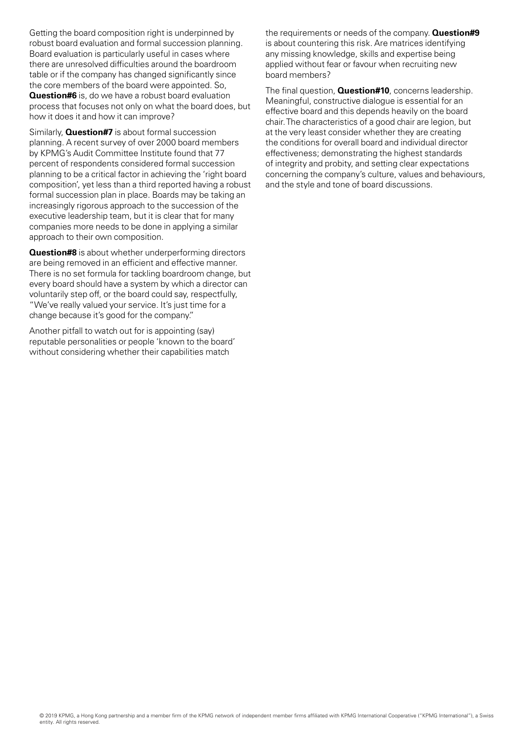Getting the board composition right is underpinned by robust board evaluation and formal succession planning. Board evaluation is particularly useful in cases where there are unresolved difficulties around the boardroom table or if the company has changed significantly since the core members of the board were appointed. So, **Question#6** is, do we have a robust board evaluation process that focuses not only on what the board does, but how it does it and how it can improve?

Similarly, **Question#7** is about formal succession planning. A recent survey of over 2000 board members by KPMG's Audit Committee Institute found that 77 percent of respondents considered formal succession planning to be a critical factor in achieving the 'right board composition', yet less than a third reported having a robust formal succession plan in place. Boards may be taking an increasingly rigorous approach to the succession of the executive leadership team, but it is clear that for many companies more needs to be done in applying a similar approach to their own composition.

**Question#8** is about whether underperforming directors are being removed in an efficient and effective manner. There is no set formula for tackling boardroom change, but every board should have a system by which a director can voluntarily step off, or the board could say, respectfully, "We've really valued your service. It's just time for a change because it's good for the company."

Another pitfall to watch out for is appointing (say) reputable personalities or people 'known to the board' without considering whether their capabilities match

the requirements or needs of the company. **Question#9**  is about countering this risk. Are matrices identifying any missing knowledge, skills and expertise being applied without fear or favour when recruiting new board members?

The final question, **Question#10**, concerns leadership. Meaningful, constructive dialogue is essential for an effective board and this depends heavily on the board chair. The characteristics of a good chair are legion, but at the very least consider whether they are creating the conditions for overall board and individual director effectiveness; demonstrating the highest standards of integrity and probity, and setting clear expectations concerning the company's culture, values and behaviours, and the style and tone of board discussions.